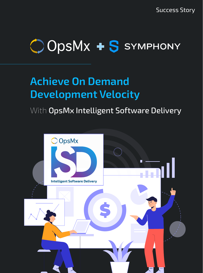Success Story

# OOpsMx + S SYMPHONY

## **Achieve On Demand Development Velocity**

### With OpsMx Intelligent Software Delivery

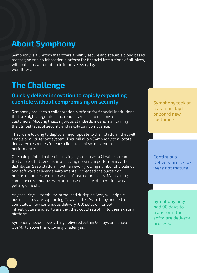### **About Symphony**

Symphony is a unicorn that offers a highly secure and scalable cloud based messaging and collaboration platform for financial institutions of all sizes, with bots and automation to improve everyday workflows.

### **The Challenge**

#### **Quickly deliver innovation to rapidly expanding clientele without compromising on security state of the Symphony took at a state of the Symphony took at**

Symphony provides a collaboration platform for financial institutions that are highly regulated and render services to millions of customers. Meeting these rigorous standards means maintaining the utmost level of security and regulatory compliance.

They were looking to deploy a major update to their platform that will enable a multi-tenant system. This will allow Symphony to allocate dedicated resources for each client to achieve maximum performance.

One pain point is that their existing system uses a CI value stream that creates bottlenecks in achieving maximum performance. Their distributed SaaS platform (with an ever-growing number of pipelines and software delivery environments) increased the burden on human resources and increased infrastructure costs. Maintaining compliance standards with an increased scale of operation was getting difficult.

Any security vulnerability introduced during delivery will cripple business they are supporting. To avoid this, Symphony needed a completely new continuous delivery (CD) solution for both infrastructure and software that they could retrofit into their existing platform.

Symphony needed everything delivered within 90 days and chose OpsMx to solve the following challenges.

least one day to onboard new customers.

**Continuous** Delivery processes were not mature.

Symphony only had 90 days to transform their software delivery process.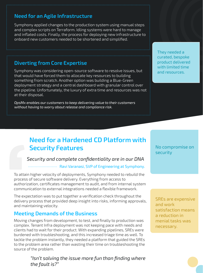#### **Need for an Agile Infrastructure**

Symphony applied changes to the production system using manual steps and complex scripts on Terraform. Idling systems were hard to manage and inflated costs. Finally, the process for deploying new infrastructure to onboard new customers needed to be shortened and simplified.

#### **Diverting from Core Expertise**

Symphony was considering open-source software to resolve issues, but that would have forced them to allocate key resources to building something from scratch. Another option was building a Blue-Green deployment strategy and a central dashboard with granular control over the pipeline. Unfortunately, the luxury of extra time and resources was not at their disposal.

*OpsMx enables our customers to keep delivering value to their customers without having to worry about release and compliance risk.* 

They needed a curated, bespoke product delivered with limited time and resources.

### **Need for a Hardened CD Platform with Security Features**

#### *Security and complete confidentiality are in our DNA*

#### Ravi Varanasi, SVP of Engineering at Symphony.

To attain higher velocity of deployments, Symphony needed to rebuild the process of secure software delivery. Everything from access to authorization, certificates management to audit, and from internal system communication to external integrations needed a flexible framework.

The expectation was to put together a verification check throughout the delivery process that provided deep insight into risks, informing approvals, and maintaining velocity.

#### **Meeting Demands of the Business**

Moving changes from development, to test, and finally to production was complex. Tenant Infra deployment was not keeping pace with needs and clients had to wait for their product. With expanding pipelines, SREs were burdened with troubleshooting, and this increased triage time as well. To tackle the problem instantly, they needed a platform that guided the SREs to the problem area rather than wasting their time on troubleshooting the source of the problem.

> *"Isn't solving the issue more fun than finding where the fault is?"*

No compromise on security

SREs are expensive and work satisfaction means a reduction in menial tasks was necessary.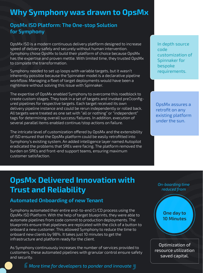### **Why Symphony was drawn to OpsMx**

#### **OpsMx ISD Platform: The One-stop Solution for Symphony**

OpsMx ISD is a modern continuous delivery platform designed to increase speed of delivery safely and securely without human intervention. Symphony chose OpsMx to build their platform of choice because OpsMx has the expertise and proven mettle. With limited time, they trusted OpsMx to complete the transformation.

Symphony needed to set up loops with variable targets, but it wasn't inherently possible because the Spinnaker model is a declarative pipeline workflow. Managing a fleet of target deployments would have been a nightmare without solving this issue with Spinnaker.

The expertise of OpsMx enabled Symphony to overcome this roadblock to create custom stages. They took in a set of targets and invoked preDconfigured pipelines for respective targets. Each target received its own delivery pipeline instance and could be rerun independently or rolled back. All targets were treated as one set with "all or nothing" or "independent" tags for determining overall success/failures. In addition, execution of several parallel items enabled continue/stop actions on failure.

The intricate level of customization offered by OpsMx and the extensibility of ISD ensured that the OpsMx platform could be easily retrofitted into Symphony's existing system. An added intelligence layer named Autopilot eradicated the problems that SREs were facing. The platform removed the burden on SREs and front-end support teams, ensuring maximum customer satisfaction.

In depth source code customization of Spinnaker for bespoke requirements.

OpsMx assures a retrofit on any existing platform under the sun.

### **OpsMx Delivered Innovation with Trust and Reliability**

#### **Automated Onboarding of new Tenant**

Symphony automated their entire end-to-end CI/CD process using the OpsMx ISD Platform. With the help of target blueprints, they were able to automate pipelines from code commit to production deployments. The blueprints ensure that pipelines are replicated with the click of a button to onboard a new customer. This allowed Symphony to reduce the time to onboard new clients by 98%. It takes just 10 minutes to get the infrastructure and platform ready for the client.

As Symphony continuously increases the number of services provided to customers, these automated pipelines with granular control ensure safety and security.

*More time for developers to ponder and innovate*

*On-boarding time reduced from* 

> **One day to 10 Minutes**

Optimization of resource utilization saved capital.